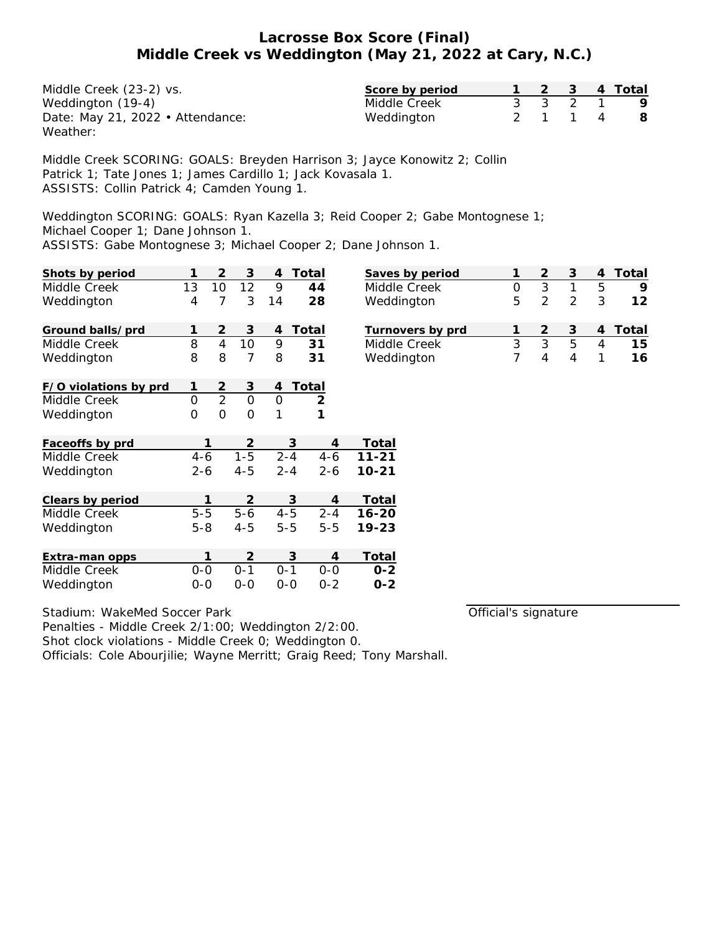| Middle Creek (23-2) vs.          | Score by period |  |         | 1 2 3 4 Total |
|----------------------------------|-----------------|--|---------|---------------|
| Weddington (19-4)                | Middle Creek    |  | 3 3 2 1 | - 9           |
| Date: May 21, 2022 • Attendance: | Weddington      |  | 2 1 1 4 | - 8           |
| Weather:                         |                 |  |         |               |

Middle Creek SCORING: GOALS: Breyden Harrison 3; Jayce Konowitz 2; Collin Patrick 1; Tate Jones 1; James Cardillo 1; Jack Kovasala 1. ASSISTS: Collin Patrick 4; Camden Young 1.

Weddington SCORING: GOALS: Ryan Kazella 3; Reid Cooper 2; Gabe Montognese 1; Michael Cooper 1; Dane Johnson 1.

ASSISTS: Gabe Montognese 3; Michael Cooper 2; Dane Johnson 1.

| Shots by period       | 1       | $\overline{2}$ | 3              | 4       | Total   | Saves      |
|-----------------------|---------|----------------|----------------|---------|---------|------------|
| Middle Creek          | 13      | 10             | 12             | 9       | 44      | Middl      |
| Weddington            | 4       | 7              | 3              | 14      | 28      | Wedc       |
| Ground balls/prd      | 1       | 2              | 3              | 4       | Total   | Turno      |
| Middle Creek          | 8       | 4              | 10             | 9       | 31      | Middl      |
| Weddington            | 8       | 8              | 7              | 8       | 31      | Wedc       |
| F/O violations by prd | 1       | 2              | 3              | 4       | Total   |            |
| Middle Creek          | 0       | $\overline{2}$ | O              | 0       | 2       |            |
| Weddington            | 0       | 0              | 0              | 1       | 1       |            |
| Faceoffs by prd       |         | 1              | 2              |         | 3       | Total<br>4 |
| Middle Creek          | $4 - 6$ |                | $1 - 5$        | $2 - 4$ | $4 - 6$ | $11 - 21$  |
| Weddington            | 2-6     |                | 4-5            | $2 - 4$ | $2 - 6$ | $10 - 21$  |
| Clears by period      |         | 1              | $\overline{2}$ |         | 3       | Total<br>4 |
| Middle Creek          | $5-5$   |                | $5-6$          | $4 - 5$ | $2 - 4$ | $16 - 20$  |
| Weddington            | $5 - 8$ |                | 4-5            | $5 - 5$ | $5 - 5$ | 19-23      |
| Extra-man opps        |         | 1              | 2              |         | 3       | Total<br>4 |
| Middle Creek          | $0-0$   |                | $0 - 1$        | $0 - 1$ | $0-0$   | $0 - 2$    |
| Weddington            | $0 - 0$ |                | $0 - 0$        | 0-0     | $0 - 2$ | $0 - 2$    |

| Saves by period  |   |   |   | Total |
|------------------|---|---|---|-------|
| Middle Creek     |   |   |   |       |
| Weddington       | 5 | 2 | 3 | 1 2   |
|                  |   |   |   |       |
| Turnovers by prd |   |   |   | Total |
| Middle Creek     |   | h |   | 15    |
| Weddington       |   |   |   |       |

Stadium: WakeMed Soccer Park

Official's signature

Shot clock violations - Middle Creek 0; Weddington 0. Officials: Cole Abourjilie; Wayne Merritt; Graig Reed; Tony Marshall.

Penalties - Middle Creek 2/1:00; Weddington 2/2:00.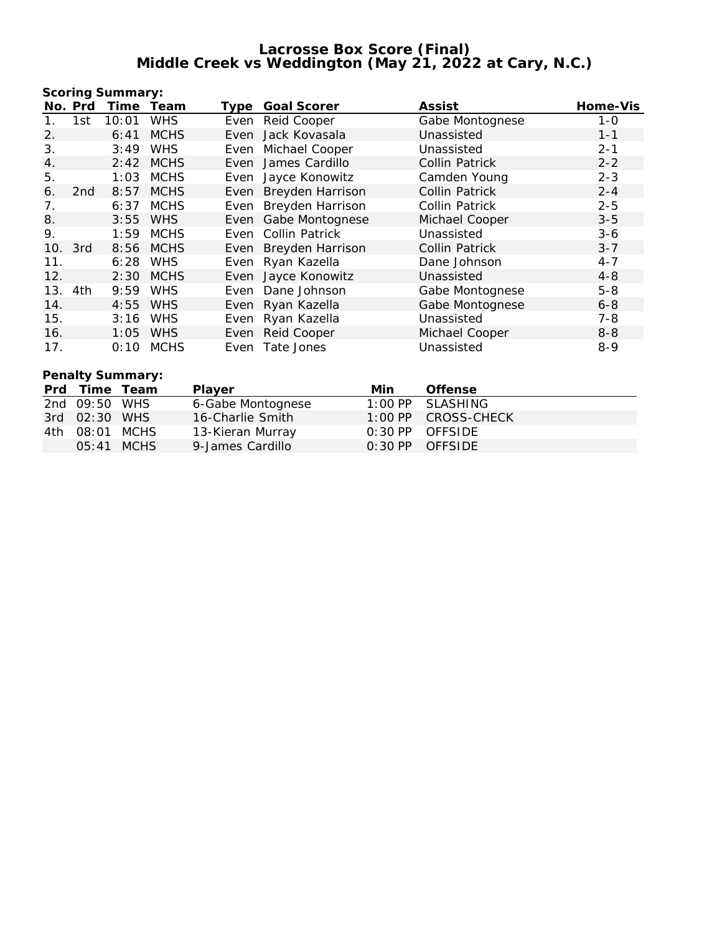|     |                  | Scoring Summary: |             |      |                       |                 |          |  |  |
|-----|------------------|------------------|-------------|------|-----------------------|-----------------|----------|--|--|
|     | No. Prd          | Time             | Team        | Type | Goal Scorer           | Assist          | Home-Vis |  |  |
| 1.  | 1st              | 10:01            | <b>WHS</b>  |      | Even Reid Cooper      | Gabe Montognese | $1 - 0$  |  |  |
| 2.  |                  | 6:41             | <b>MCHS</b> |      | Even Jack Kovasala    | Unassisted      | $1 - 1$  |  |  |
| 3.  |                  | 3:49             | <b>WHS</b>  |      | Even Michael Cooper   | Unassisted      | $2 - 1$  |  |  |
| 4.  |                  | 2:42             | <b>MCHS</b> |      | Even James Cardillo   | Collin Patrick  | $2 - 2$  |  |  |
| 5.  |                  | 1:03             | <b>MCHS</b> |      | Even Jayce Konowitz   | Camden Young    | $2 - 3$  |  |  |
| 6.  | 2 <sub>nd</sub>  | 8:57             | <b>MCHS</b> |      | Even Breyden Harrison | Collin Patrick  | $2 - 4$  |  |  |
| 7.  |                  | 6:37             | MCHS        |      | Even Breyden Harrison | Collin Patrick  | $2 - 5$  |  |  |
| 8.  |                  | 3:55             | <b>WHS</b>  |      | Even Gabe Montognese  | Michael Cooper  | $3 - 5$  |  |  |
| 9.  |                  | 1:59             | MCHS        |      | Even Collin Patrick   | Unassisted      | $3 - 6$  |  |  |
| 10. | 3rd              |                  | 8:56 MCHS   |      | Even Breyden Harrison | Collin Patrick  | $3 - 7$  |  |  |
| 11. |                  | 6:28             | WHS         |      | Even Ryan Kazella     | Dane Johnson    | $4 - 7$  |  |  |
| 12. |                  | 2:30             | <b>MCHS</b> |      | Even Jayce Konowitz   | Unassisted      | $4 - 8$  |  |  |
|     | 13. 4th          | 9:59             | <b>WHS</b>  |      | Even Dane Johnson     | Gabe Montognese | $5 - 8$  |  |  |
| 14. |                  | 4:55             | <b>WHS</b>  |      | Even Ryan Kazella     | Gabe Montognese | $6 - 8$  |  |  |
| 15. |                  | 3:16             | <b>WHS</b>  |      | Even Ryan Kazella     | Unassisted      | $7 - 8$  |  |  |
| 16. |                  | 1:05             | <b>WHS</b>  |      | Even Reid Cooper      | Michael Cooper  | $8 - 8$  |  |  |
| 17. |                  | 0:10             | <b>MCHS</b> |      | Even Tate Jones       | Unassisted      | $8 - 9$  |  |  |
|     | Penalty Summary: |                  |             |      |                       |                 |          |  |  |

|     | Prd Time Team |              | <b>Plaver</b>     | Min | Offense             |
|-----|---------------|--------------|-------------------|-----|---------------------|
|     | 2nd 09:50 WHS |              | 6-Gabe Montognese |     | $1:00$ PP SLASHING  |
|     | 3rd 02:30 WHS |              | 16-Charlie Smith  |     | 1:00 PP CROSS-CHECK |
| 4th | 08:01 MCHS    |              | 13-Kieran Murray  |     | $0:30$ PP OFFSIDE   |
|     |               | $05:41$ MCHS | 9-James Cardillo  |     | $0:30$ PP OFFSIDE   |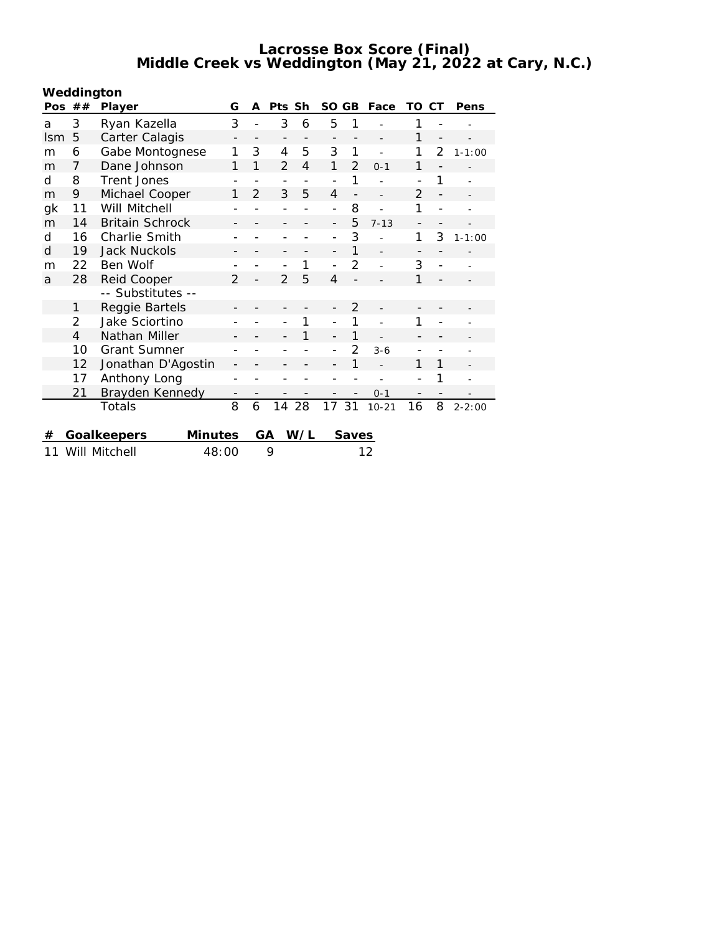| Weddington |  |  |
|------------|--|--|
|            |  |  |

| Pos        | ##             | Player                 | G                        | A              | Pts Sh                       |     | SO GB                    |                | Face      | TO                       | CT                       | Pens       |
|------------|----------------|------------------------|--------------------------|----------------|------------------------------|-----|--------------------------|----------------|-----------|--------------------------|--------------------------|------------|
| a          | 3              | Ryan Kazella           | 3                        |                | 3                            | 6   | 5                        | 1              |           | 1                        |                          |            |
| <b>Ism</b> | 5              | Carter Calagis         |                          |                | $\qquad \qquad -$            |     | $\overline{\phantom{0}}$ |                |           | 1                        | $\overline{\phantom{0}}$ |            |
| m          | 6              | Gabe Montognese        | 1                        | 3              | 4                            | 5   | 3                        | 1              |           | 1                        | $\overline{2}$           | $1 - 1:00$ |
| m          | 7              | Dane Johnson           | 1                        | 1              | $\overline{2}$               | 4   | 1                        | 2              | $0 - 1$   | 1                        |                          |            |
| d          | 8              | <b>Trent Jones</b>     |                          |                | $\qquad \qquad \blacksquare$ |     | $\overline{a}$           | 1              |           |                          | 1                        |            |
| m          | 9              | Michael Cooper         | 1                        | $\mathfrak{D}$ | 3                            | 5   | $\overline{4}$           |                |           | $\overline{2}$           |                          |            |
| gk         | 11             | Will Mitchell          |                          |                |                              |     | $\overline{\phantom{0}}$ | 8              |           | 1                        |                          |            |
| m          | 14             | <b>Britain Schrock</b> | -                        |                | -                            |     | $\overline{\phantom{0}}$ | 5              | $7 - 13$  | $\overline{\phantom{a}}$ |                          |            |
| d          | 16             | Charlie Smith          | -                        |                | -                            |     | $\overline{\phantom{0}}$ | 3              |           | 1                        | 3                        | $1 - 1:00$ |
| d          | 19             | <b>Jack Nuckols</b>    |                          |                |                              |     | -                        | 1              |           | $\overline{\phantom{a}}$ |                          |            |
| m          | 22             | Ben Wolf               |                          |                |                              | 1   | $\overline{a}$           | 2              |           | 3                        | $\overline{a}$           |            |
| a          | 28             | Reid Cooper            | $\overline{2}$           |                | $\overline{2}$               | 5   | 4                        |                |           | 1                        |                          |            |
|            |                | -- Substitutes --      |                          |                |                              |     |                          |                |           |                          |                          |            |
|            | 1              | Reggie Bartels         |                          |                |                              |     |                          | $\overline{2}$ |           |                          |                          |            |
|            | 2              | Jake Sciortino         |                          |                |                              | 1   | $\overline{\phantom{0}}$ | 1              |           | 1                        |                          |            |
|            | $\overline{4}$ | Nathan Miller          |                          |                |                              | 1   | $\overline{\phantom{0}}$ | 1              |           |                          |                          |            |
|            | 10             | <b>Grant Sumner</b>    |                          |                |                              |     | $\overline{\phantom{0}}$ | $\mathcal{P}$  | $3 - 6$   |                          |                          |            |
|            | 12             | Jonathan D'Agostin     | -                        |                |                              |     |                          | 1              |           | 1                        | 1                        |            |
|            | 17             | Anthony Long           | $\overline{a}$           |                |                              |     |                          |                |           | $\overline{\phantom{0}}$ | 1                        |            |
|            | 21             | Brayden Kennedy        | $\overline{\phantom{0}}$ |                | $\qquad \qquad -$            |     |                          |                | $0 - 1$   | $\overline{\phantom{a}}$ |                          |            |
|            |                | Totals                 | 8                        | 6              | 14                           | 28  | 17 31                    |                | $10 - 21$ | 16                       | 8                        | $2 - 2:00$ |
|            |                |                        |                          |                |                              |     |                          |                |           |                          |                          |            |
| #          |                | Goalkeepers<br>Minutes |                          |                | GA                           | W/L |                          | Saves          |           |                          |                          |            |

11 Will Mitchell 48:00 9 12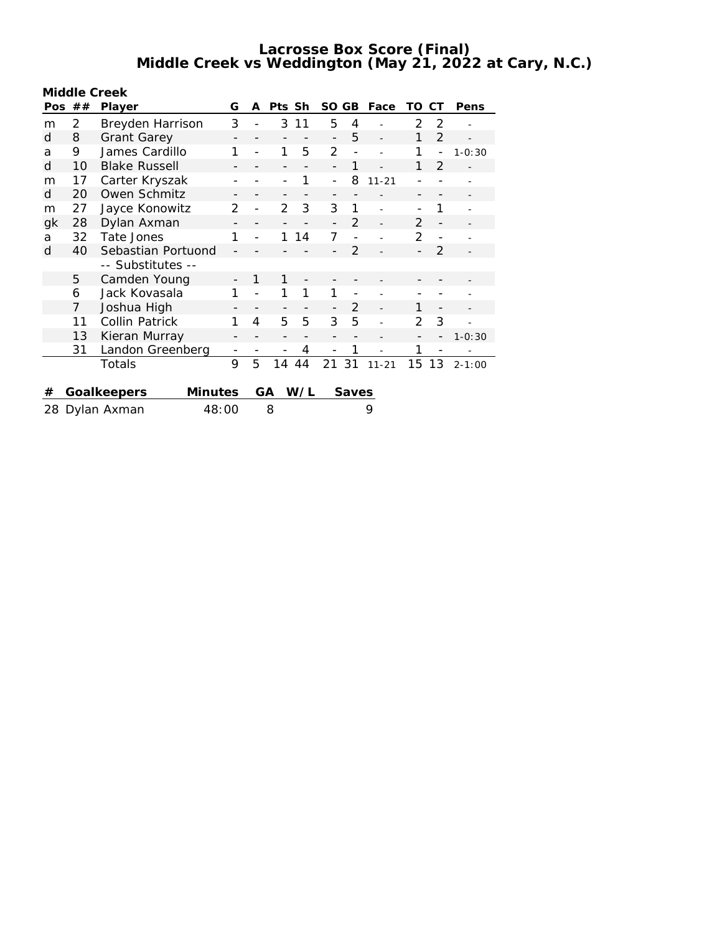| Middle Creek            |    |                      |         |   |        |     |                          |                |           |               |                |            |
|-------------------------|----|----------------------|---------|---|--------|-----|--------------------------|----------------|-----------|---------------|----------------|------------|
| Pos.                    | ## | Player               | G       | A | Pts Sh |     | SO.                      | GB             | Face      | TO            | CТ             | Pens       |
| m                       | 2  | Breyden Harrison     | 3       |   | 3      | 11  | 5                        | 4              |           | $\mathcal{P}$ | 2              |            |
| d                       | 8  | <b>Grant Garey</b>   |         |   |        |     | $\overline{\phantom{a}}$ | 5              |           | 1             | $\overline{2}$ |            |
| a                       | 9  | James Cardillo       | 1       |   | 1      | 5   | $\overline{2}$           | $\overline{a}$ |           | 1             | $\overline{a}$ | $1 - 0:30$ |
| d                       | 10 | <b>Blake Russell</b> |         |   |        |     |                          | 1              |           | 1             | $\overline{2}$ |            |
| m                       | 17 | Carter Kryszak       |         |   |        | 1   | $\overline{a}$           | 8              | $11 - 21$ |               |                |            |
| d                       | 20 | Owen Schmitz         | -       | - | -      |     | -                        |                |           | -             |                |            |
| m                       | 27 | Jayce Konowitz       | 2       |   | 2      | 3   | 3                        | 1              |           |               | 1              |            |
| gk                      | 28 | Dylan Axman          |         |   |        |     |                          | $\mathcal{P}$  |           | $\mathcal{P}$ | $\overline{a}$ |            |
| a                       | 32 | 1<br>Tate Jones      |         |   | 1      | 14  | $\overline{7}$           |                |           | 2             |                |            |
| d                       | 40 | Sebastian Portuond   |         |   |        |     |                          | $\overline{2}$ |           |               | 2              |            |
|                         |    | -- Substitutes --    |         |   |        |     |                          |                |           |               |                |            |
|                         | 5  | Camden Young         |         | 1 | 1      |     |                          |                |           |               |                |            |
|                         | 6  | Jack Kovasala        | 1       |   | 1      | 1   | 1                        |                |           |               |                |            |
|                         | 7  | Joshua High          |         |   |        |     |                          | 2              |           | 1             |                |            |
|                         | 11 | Collin Patrick       | 1       | 4 | 5      | 5   | 3                        | 5              |           | 2             | 3              |            |
|                         | 13 | Kieran Murray        |         |   | -      |     |                          |                |           |               |                | $1 - 0:30$ |
|                         | 31 | Landon Greenberg     |         |   |        | 4   |                          | 1              |           | 1             |                |            |
|                         |    | Totals               | 9       | 5 | 14     | 44  | 21                       | 31             | $11 - 21$ | 15            | 13             | $2 - 1:00$ |
|                         |    |                      |         |   |        |     |                          |                |           |               |                |            |
| #                       |    | Goalkeepers          | Minutes |   | GА     | W/L |                          | Saves          |           |               |                |            |
| 48:00<br>28 Dylan Axman |    |                      | 8       |   |        |     | 9                        |                |           |               |                |            |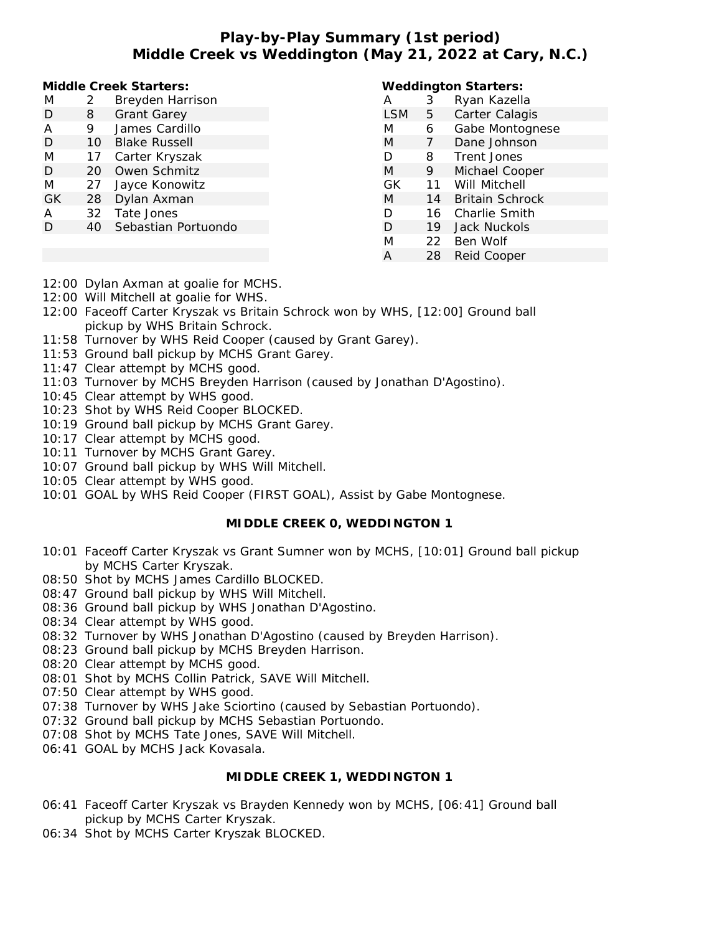# **Play-by-Play Summary (1st period) Middle Creek vs Weddington (May 21, 2022 at Cary, N.C.)**

**Middle Creek Starters:**

| M   | 2  | Breyden Harrison     |
|-----|----|----------------------|
| D   | 8  | <b>Grant Garey</b>   |
| А   | 9  | James Cardillo       |
| D   | 10 | <b>Blake Russell</b> |
| M   | 17 | Carter Kryszak       |
| D   | 20 | Owen Schmitz         |
| M   | 27 | Jayce Konowitz       |
| GK. | 28 | Dylan Axman          |
| Α   | 32 | Tate Jones           |
| Ð   | 40 | Sebastian Portuondo  |
|     |    |                      |

#### **Weddington Starters:**

| А          | 3  | Ryan Kazella           |
|------------|----|------------------------|
| <b>LSM</b> | 5  | Carter Calagis         |
| M          | 6  | Gabe Montognese        |
| M          | 7  | Dane Johnson           |
| D          | 8  | Trent Jones            |
| M          | 9  | Michael Cooper         |
| GK         | 11 | Will Mitchell          |
| M          | 14 | <b>Britain Schrock</b> |
| D          | 16 | Charlie Smith          |
| D          | 19 | Jack Nuckols           |
| M          | 22 | Ben Wolf               |
| A          | 28 | Reid Cooper            |

- 12:00 Dylan Axman at goalie for MCHS.
- 12:00 Will Mitchell at goalie for WHS.
- 12:00 Faceoff Carter Kryszak vs Britain Schrock won by WHS, [12:00] Ground ball pickup by WHS Britain Schrock.
- 11:58 Turnover by WHS Reid Cooper (caused by Grant Garey).
- 11:53 Ground ball pickup by MCHS Grant Garey.
- 11:47 Clear attempt by MCHS good.
- 11:03 Turnover by MCHS Breyden Harrison (caused by Jonathan D'Agostino).
- 10:45 Clear attempt by WHS good.
- 10:23 Shot by WHS Reid Cooper BLOCKED.
- 10:19 Ground ball pickup by MCHS Grant Garey.
- 10:17 Clear attempt by MCHS good.
- 10:11 Turnover by MCHS Grant Garey.
- 10:07 Ground ball pickup by WHS Will Mitchell.
- 10:05 Clear attempt by WHS good.
- 10:01 GOAL by WHS Reid Cooper (FIRST GOAL), Assist by Gabe Montognese.

## **MIDDLE CREEK 0, WEDDINGTON 1**

- 10:01 Faceoff Carter Kryszak vs Grant Sumner won by MCHS, [10:01] Ground ball pickup by MCHS Carter Kryszak.
- 08:50 Shot by MCHS James Cardillo BLOCKED.
- 08:47 Ground ball pickup by WHS Will Mitchell.
- 08:36 Ground ball pickup by WHS Jonathan D'Agostino.
- 08:34 Clear attempt by WHS good.
- 08:32 Turnover by WHS Jonathan D'Agostino (caused by Breyden Harrison).
- 08:23 Ground ball pickup by MCHS Breyden Harrison.
- 08:20 Clear attempt by MCHS good.
- 08:01 Shot by MCHS Collin Patrick, SAVE Will Mitchell.
- 07:50 Clear attempt by WHS good.
- 07:38 Turnover by WHS Jake Sciortino (caused by Sebastian Portuondo).
- 07:32 Ground ball pickup by MCHS Sebastian Portuondo.
- 07:08 Shot by MCHS Tate Jones, SAVE Will Mitchell.
- 06:41 GOAL by MCHS Jack Kovasala.

#### **MIDDLE CREEK 1, WEDDINGTON 1**

- 06:41 Faceoff Carter Kryszak vs Brayden Kennedy won by MCHS, [06:41] Ground ball pickup by MCHS Carter Kryszak.
- 06:34 Shot by MCHS Carter Kryszak BLOCKED.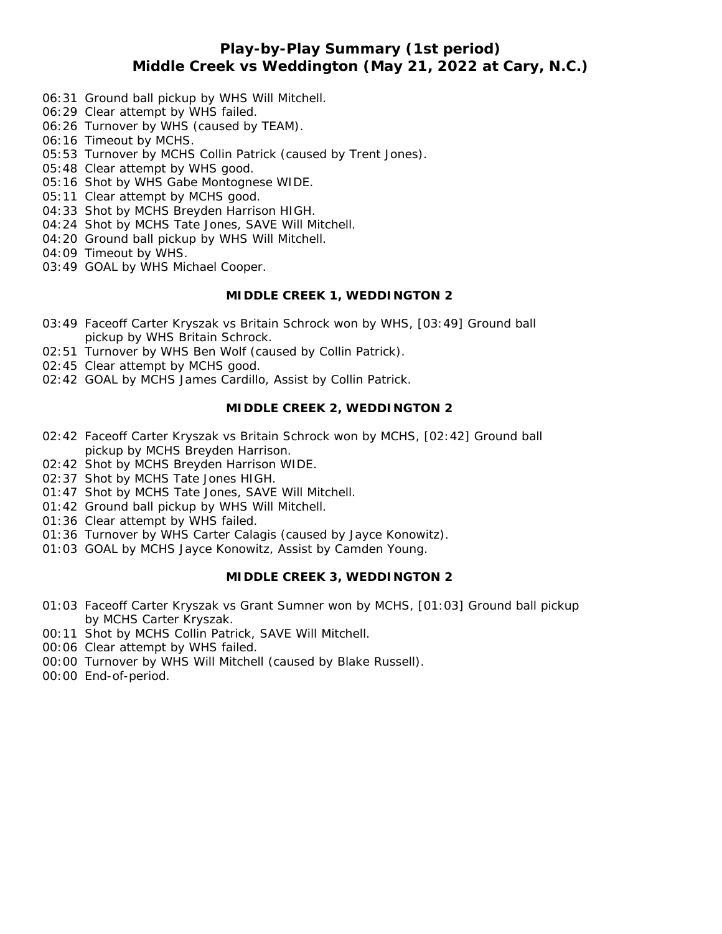## **Play-by-Play Summary (1st period) Middle Creek vs Weddington (May 21, 2022 at Cary, N.C.)**

- 06:31 Ground ball pickup by WHS Will Mitchell.
- 06:29 Clear attempt by WHS failed.
- 06:26 Turnover by WHS (caused by TEAM).
- 06:16 Timeout by MCHS.
- 05:53 Turnover by MCHS Collin Patrick (caused by Trent Jones).
- 05:48 Clear attempt by WHS good.
- 05:16 Shot by WHS Gabe Montognese WIDE.
- 05:11 Clear attempt by MCHS good.
- 04:33 Shot by MCHS Breyden Harrison HIGH.
- 04:24 Shot by MCHS Tate Jones, SAVE Will Mitchell.
- 04:20 Ground ball pickup by WHS Will Mitchell.
- 04:09 Timeout by WHS.
- 03:49 GOAL by WHS Michael Cooper.

### **MIDDLE CREEK 1, WEDDINGTON 2**

- 03:49 Faceoff Carter Kryszak vs Britain Schrock won by WHS, [03:49] Ground ball pickup by WHS Britain Schrock.
- 02:51 Turnover by WHS Ben Wolf (caused by Collin Patrick).
- 02:45 Clear attempt by MCHS good.
- 02:42 GOAL by MCHS James Cardillo, Assist by Collin Patrick.

## **MIDDLE CREEK 2, WEDDINGTON 2**

- 02:42 Faceoff Carter Kryszak vs Britain Schrock won by MCHS, [02:42] Ground ball pickup by MCHS Breyden Harrison.
- 02:42 Shot by MCHS Breyden Harrison WIDE.
- 02:37 Shot by MCHS Tate Jones HIGH.
- 01:47 Shot by MCHS Tate Jones, SAVE Will Mitchell.
- 01:42 Ground ball pickup by WHS Will Mitchell.
- 01:36 Clear attempt by WHS failed.
- 01:36 Turnover by WHS Carter Calagis (caused by Jayce Konowitz).
- 01:03 GOAL by MCHS Jayce Konowitz, Assist by Camden Young.

## **MIDDLE CREEK 3, WEDDINGTON 2**

- 01:03 Faceoff Carter Kryszak vs Grant Sumner won by MCHS, [01:03] Ground ball pickup by MCHS Carter Kryszak.
- 00:11 Shot by MCHS Collin Patrick, SAVE Will Mitchell.
- 00:06 Clear attempt by WHS failed.
- 00:00 Turnover by WHS Will Mitchell (caused by Blake Russell).
- 00:00 End-of-period.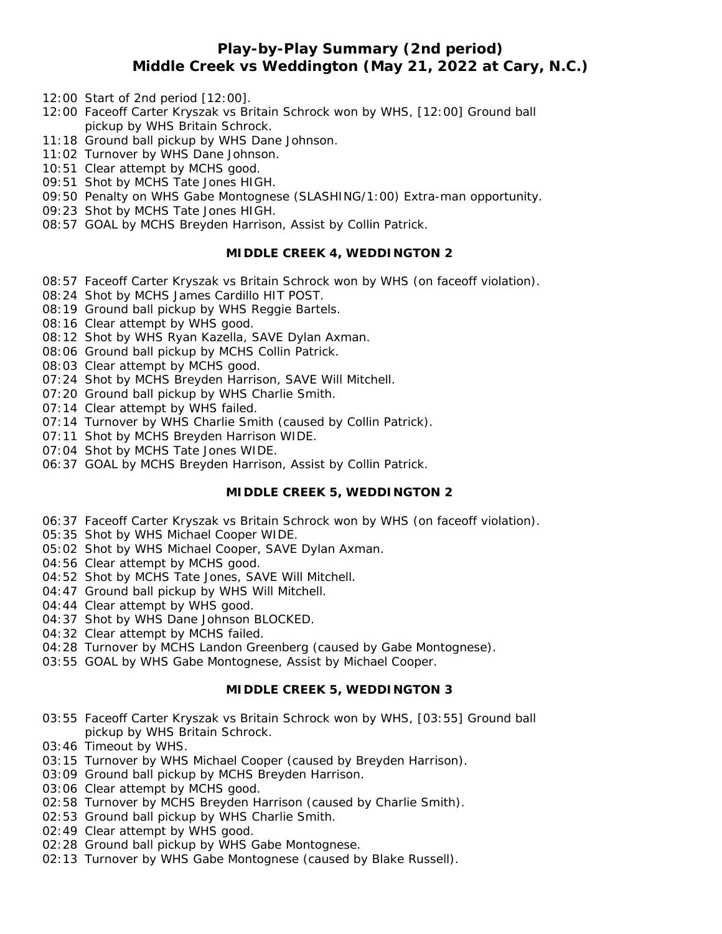# **Play-by-Play Summary (2nd period) Middle Creek vs Weddington (May 21, 2022 at Cary, N.C.)**

- 12:00 Start of 2nd period [12:00].
- 12:00 Faceoff Carter Kryszak vs Britain Schrock won by WHS, [12:00] Ground ball pickup by WHS Britain Schrock.
- 11:18 Ground ball pickup by WHS Dane Johnson.
- 11:02 Turnover by WHS Dane Johnson.
- 10:51 Clear attempt by MCHS good.
- 09:51 Shot by MCHS Tate Jones HIGH.
- 09:50 Penalty on WHS Gabe Montognese (SLASHING/1:00) Extra-man opportunity.
- 09:23 Shot by MCHS Tate Jones HIGH.
- 08:57 GOAL by MCHS Breyden Harrison, Assist by Collin Patrick.

## **MIDDLE CREEK 4, WEDDINGTON 2**

- 08:57 Faceoff Carter Kryszak vs Britain Schrock won by WHS (on faceoff violation).
- 08:24 Shot by MCHS James Cardillo HIT POST.
- 08:19 Ground ball pickup by WHS Reggie Bartels.
- 08:16 Clear attempt by WHS good.
- 08:12 Shot by WHS Ryan Kazella, SAVE Dylan Axman.
- 08:06 Ground ball pickup by MCHS Collin Patrick.
- 08:03 Clear attempt by MCHS good.
- 07:24 Shot by MCHS Breyden Harrison, SAVE Will Mitchell.
- 07:20 Ground ball pickup by WHS Charlie Smith.
- 07:14 Clear attempt by WHS failed.
- 07:14 Turnover by WHS Charlie Smith (caused by Collin Patrick).
- 07:11 Shot by MCHS Breyden Harrison WIDE.
- 07:04 Shot by MCHS Tate Jones WIDE.
- 06:37 GOAL by MCHS Breyden Harrison, Assist by Collin Patrick.

#### **MIDDLE CREEK 5, WEDDINGTON 2**

- 06:37 Faceoff Carter Kryszak vs Britain Schrock won by WHS (on faceoff violation).
- 05:35 Shot by WHS Michael Cooper WIDE.
- 05:02 Shot by WHS Michael Cooper, SAVE Dylan Axman.
- 04:56 Clear attempt by MCHS good.
- 04:52 Shot by MCHS Tate Jones, SAVE Will Mitchell.
- 04:47 Ground ball pickup by WHS Will Mitchell.
- 04:44 Clear attempt by WHS good.
- 04:37 Shot by WHS Dane Johnson BLOCKED.
- 04:32 Clear attempt by MCHS failed.
- 04:28 Turnover by MCHS Landon Greenberg (caused by Gabe Montognese).
- 03:55 GOAL by WHS Gabe Montognese, Assist by Michael Cooper.

### **MIDDLE CREEK 5, WEDDINGTON 3**

- 03:55 Faceoff Carter Kryszak vs Britain Schrock won by WHS, [03:55] Ground ball pickup by WHS Britain Schrock.
- 03:46 Timeout by WHS.
- 03:15 Turnover by WHS Michael Cooper (caused by Breyden Harrison).
- 03:09 Ground ball pickup by MCHS Breyden Harrison.
- 03:06 Clear attempt by MCHS good.
- 02:58 Turnover by MCHS Breyden Harrison (caused by Charlie Smith).
- 02:53 Ground ball pickup by WHS Charlie Smith.
- 02:49 Clear attempt by WHS good.
- 02:28 Ground ball pickup by WHS Gabe Montognese.
- 02:13 Turnover by WHS Gabe Montognese (caused by Blake Russell).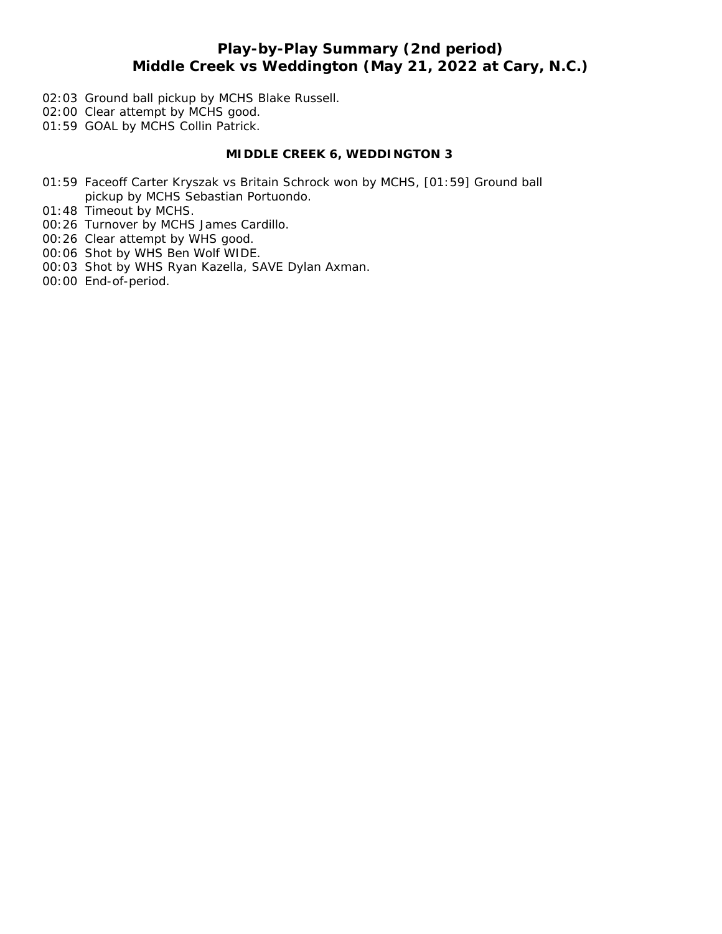# **Play-by-Play Summary (2nd period) Middle Creek vs Weddington (May 21, 2022 at Cary, N.C.)**

- 02:03 Ground ball pickup by MCHS Blake Russell.
- 02:00 Clear attempt by MCHS good.
- 01:59 GOAL by MCHS Collin Patrick.

## **MIDDLE CREEK 6, WEDDINGTON 3**

- 01:59 Faceoff Carter Kryszak vs Britain Schrock won by MCHS, [01:59] Ground ball pickup by MCHS Sebastian Portuondo.
- 01:48 Timeout by MCHS.
- 00:26 Turnover by MCHS James Cardillo.
- 00:26 Clear attempt by WHS good.
- 00:06 Shot by WHS Ben Wolf WIDE.
- 00:03 Shot by WHS Ryan Kazella, SAVE Dylan Axman.
- 00:00 End-of-period.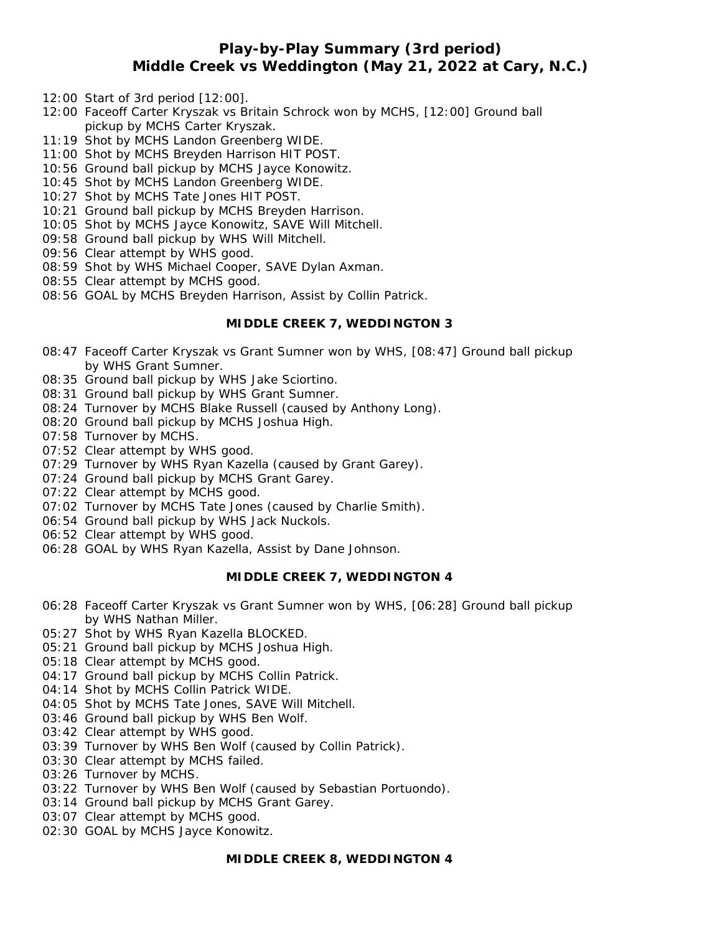# **Play-by-Play Summary (3rd period) Middle Creek vs Weddington (May 21, 2022 at Cary, N.C.)**

- 12:00 Start of 3rd period [12:00].
- 12:00 Faceoff Carter Kryszak vs Britain Schrock won by MCHS, [12:00] Ground ball pickup by MCHS Carter Kryszak.
- 11:19 Shot by MCHS Landon Greenberg WIDE.
- 11:00 Shot by MCHS Breyden Harrison HIT POST.
- 10:56 Ground ball pickup by MCHS Jayce Konowitz.
- 10:45 Shot by MCHS Landon Greenberg WIDE.
- 10:27 Shot by MCHS Tate Jones HIT POST.
- 10:21 Ground ball pickup by MCHS Breyden Harrison.
- 10:05 Shot by MCHS Jayce Konowitz, SAVE Will Mitchell.
- 09:58 Ground ball pickup by WHS Will Mitchell.
- 09:56 Clear attempt by WHS good.
- 08:59 Shot by WHS Michael Cooper, SAVE Dylan Axman.
- 08:55 Clear attempt by MCHS good.
- 08:56 GOAL by MCHS Breyden Harrison, Assist by Collin Patrick.

## **MIDDLE CREEK 7, WEDDINGTON 3**

- 08:47 Faceoff Carter Kryszak vs Grant Sumner won by WHS, [08:47] Ground ball pickup by WHS Grant Sumner.
- 08:35 Ground ball pickup by WHS Jake Sciortino.
- 08:31 Ground ball pickup by WHS Grant Sumner.
- 08:24 Turnover by MCHS Blake Russell (caused by Anthony Long).
- 08:20 Ground ball pickup by MCHS Joshua High.
- 07:58 Turnover by MCHS.
- 07:52 Clear attempt by WHS good.
- 07:29 Turnover by WHS Ryan Kazella (caused by Grant Garey).
- 07:24 Ground ball pickup by MCHS Grant Garey.
- 07:22 Clear attempt by MCHS good.
- 07:02 Turnover by MCHS Tate Jones (caused by Charlie Smith).
- 06:54 Ground ball pickup by WHS Jack Nuckols.
- 06:52 Clear attempt by WHS good.
- 06:28 GOAL by WHS Ryan Kazella, Assist by Dane Johnson.

## **MIDDLE CREEK 7, WEDDINGTON 4**

- 06:28 Faceoff Carter Kryszak vs Grant Sumner won by WHS, [06:28] Ground ball pickup by WHS Nathan Miller.
- 05:27 Shot by WHS Ryan Kazella BLOCKED.
- 05:21 Ground ball pickup by MCHS Joshua High.
- 05:18 Clear attempt by MCHS good.
- 04:17 Ground ball pickup by MCHS Collin Patrick.
- 04:14 Shot by MCHS Collin Patrick WIDE.
- 04:05 Shot by MCHS Tate Jones, SAVE Will Mitchell.
- 03:46 Ground ball pickup by WHS Ben Wolf.
- 03:42 Clear attempt by WHS good.
- 03:39 Turnover by WHS Ben Wolf (caused by Collin Patrick).
- 03:30 Clear attempt by MCHS failed.
- 03:26 Turnover by MCHS.
- 03:22 Turnover by WHS Ben Wolf (caused by Sebastian Portuondo).
- 03:14 Ground ball pickup by MCHS Grant Garey.
- 03:07 Clear attempt by MCHS good.
- 02:30 GOAL by MCHS Jayce Konowitz.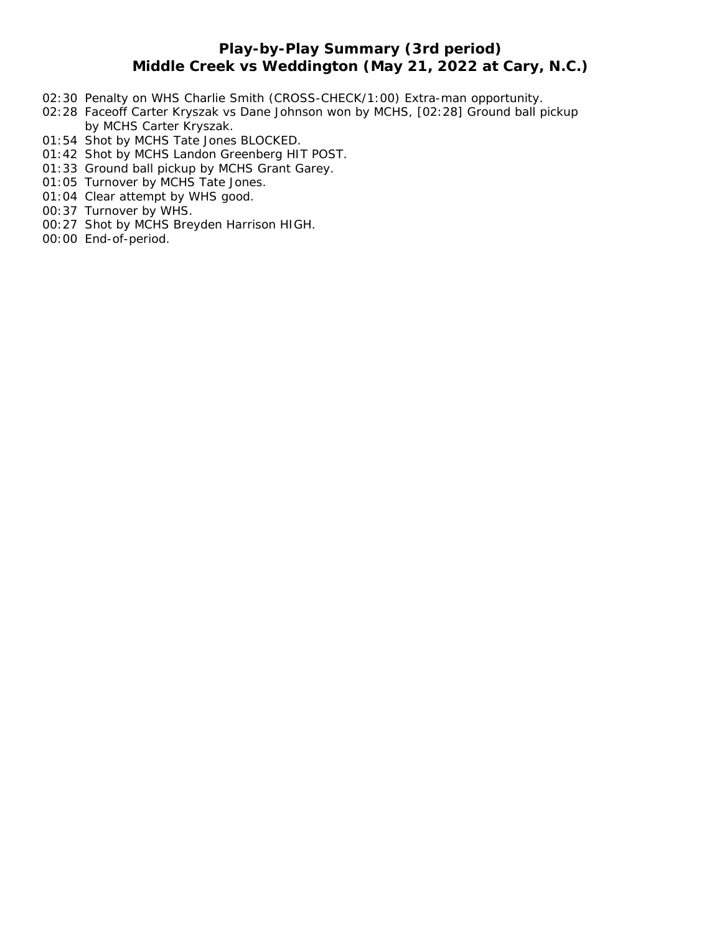# **Play-by-Play Summary (3rd period) Middle Creek vs Weddington (May 21, 2022 at Cary, N.C.)**

- 02:30 Penalty on WHS Charlie Smith (CROSS-CHECK/1:00) Extra-man opportunity.
- 02:28 Faceoff Carter Kryszak vs Dane Johnson won by MCHS, [02:28] Ground ball pickup by MCHS Carter Kryszak.
- 01:54 Shot by MCHS Tate Jones BLOCKED.
- 01:42 Shot by MCHS Landon Greenberg HIT POST.
- 01:33 Ground ball pickup by MCHS Grant Garey.
- 01:05 Turnover by MCHS Tate Jones.
- 01:04 Clear attempt by WHS good.
- 00:37 Turnover by WHS.
- 00:27 Shot by MCHS Breyden Harrison HIGH.
- 00:00 End-of-period.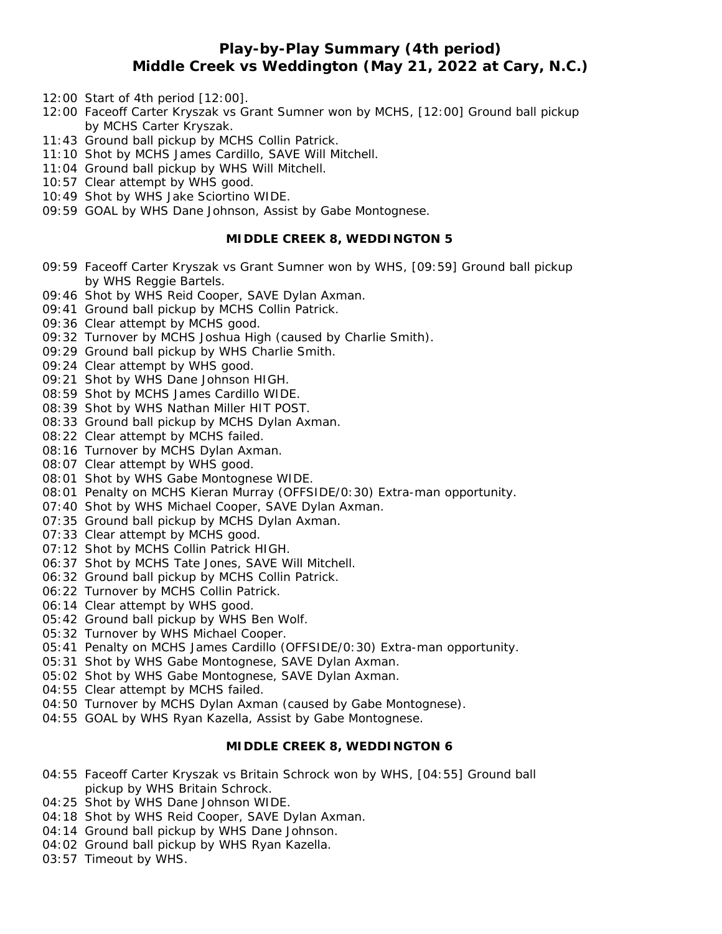# **Play-by-Play Summary (4th period) Middle Creek vs Weddington (May 21, 2022 at Cary, N.C.)**

- 12:00 Start of 4th period [12:00].
- 12:00 Faceoff Carter Kryszak vs Grant Sumner won by MCHS, [12:00] Ground ball pickup by MCHS Carter Kryszak.
- 11:43 Ground ball pickup by MCHS Collin Patrick.
- 11:10 Shot by MCHS James Cardillo, SAVE Will Mitchell.
- 11:04 Ground ball pickup by WHS Will Mitchell.
- 10:57 Clear attempt by WHS good.
- 10:49 Shot by WHS Jake Sciortino WIDE.
- 09:59 GOAL by WHS Dane Johnson, Assist by Gabe Montognese.

### **MIDDLE CREEK 8, WEDDINGTON 5**

- 09:59 Faceoff Carter Kryszak vs Grant Sumner won by WHS, [09:59] Ground ball pickup by WHS Reggie Bartels.
- 09:46 Shot by WHS Reid Cooper, SAVE Dylan Axman.
- 09:41 Ground ball pickup by MCHS Collin Patrick.
- 09:36 Clear attempt by MCHS good.
- 09:32 Turnover by MCHS Joshua High (caused by Charlie Smith).
- 09:29 Ground ball pickup by WHS Charlie Smith.
- 09:24 Clear attempt by WHS good.
- 09:21 Shot by WHS Dane Johnson HIGH.
- 08:59 Shot by MCHS James Cardillo WIDE.
- 08:39 Shot by WHS Nathan Miller HIT POST.
- 08:33 Ground ball pickup by MCHS Dylan Axman.
- 08:22 Clear attempt by MCHS failed.
- 08:16 Turnover by MCHS Dylan Axman.
- 08:07 Clear attempt by WHS good.
- 08:01 Shot by WHS Gabe Montognese WIDE.
- 08:01 Penalty on MCHS Kieran Murray (OFFSIDE/0:30) Extra-man opportunity.
- 07:40 Shot by WHS Michael Cooper, SAVE Dylan Axman.
- 07:35 Ground ball pickup by MCHS Dylan Axman.
- 07:33 Clear attempt by MCHS good.
- 07:12 Shot by MCHS Collin Patrick HIGH.
- 06:37 Shot by MCHS Tate Jones, SAVE Will Mitchell.
- 06:32 Ground ball pickup by MCHS Collin Patrick.
- 06:22 Turnover by MCHS Collin Patrick.
- 06:14 Clear attempt by WHS good.
- 05:42 Ground ball pickup by WHS Ben Wolf.
- 05:32 Turnover by WHS Michael Cooper.
- 05:41 Penalty on MCHS James Cardillo (OFFSIDE/0:30) Extra-man opportunity.
- 05:31 Shot by WHS Gabe Montognese, SAVE Dylan Axman.
- 05:02 Shot by WHS Gabe Montognese, SAVE Dylan Axman.
- 04:55 Clear attempt by MCHS failed.
- 04:50 Turnover by MCHS Dylan Axman (caused by Gabe Montognese).
- 04:55 GOAL by WHS Ryan Kazella, Assist by Gabe Montognese.

## **MIDDLE CREEK 8, WEDDINGTON 6**

- 04:55 Faceoff Carter Kryszak vs Britain Schrock won by WHS, [04:55] Ground ball pickup by WHS Britain Schrock.
- 04:25 Shot by WHS Dane Johnson WIDE.
- 04:18 Shot by WHS Reid Cooper, SAVE Dylan Axman.
- 04:14 Ground ball pickup by WHS Dane Johnson.
- 04:02 Ground ball pickup by WHS Ryan Kazella.
- 03:57 Timeout by WHS.